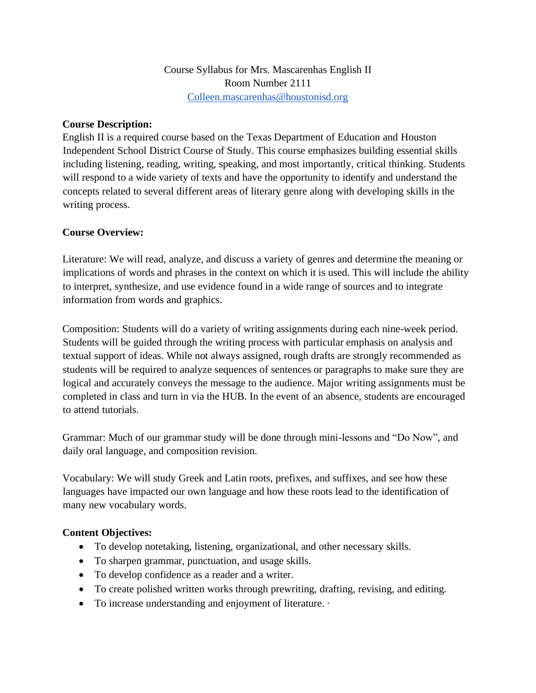## **Course Description:**

English II is a required course based on the Texas Department of Education and Houston Independent School District Course of Study. This course emphasizes building essential skills including listening, reading, writing, speaking, and most importantly, critical thinking. Students will respond to a wide variety of texts and have the opportunity to identify and understand the concepts related to several different areas of literary genre along with developing skills in the writing process.

## **Course Overview:**

Literature: We will read, analyze, and discuss a variety of genres and determine the meaning or implications of words and phrases in the context on which it is used. This will include the ability to interpret, synthesize, and use evidence found in a wide range of sources and to integrate information from words and graphics.

Composition: Students will do a variety of writing assignments during each nine-week period. Students will be guided through the writing process with particular emphasis on analysis and textual support of ideas. While not always assigned, rough drafts are strongly recommended as students will be required to analyze sequences of sentences or paragraphs to make sure they are logical and accurately conveys the message to the audience. Major writing assignments must be completed in class and turn in via the HUB. In the event of an absence, students are encouraged to attend tutorials.

Grammar: Much of our grammar study will be done through mini-lessons and "Do Now", and daily oral language, and composition revision.

Vocabulary: We will study Greek and Latin roots, prefixes, and suffixes, and see how these languages have impacted our own language and how these roots lead to the identification of many new vocabulary words.

## **Content Objectives:**

- To develop notetaking, listening, organizational, and other necessary skills.
- To sharpen grammar, punctuation, and usage skills.
- To develop confidence as a reader and a writer.
- To create polished written works through prewriting, drafting, revising, and editing.
- To increase understanding and enjoyment of literature. ·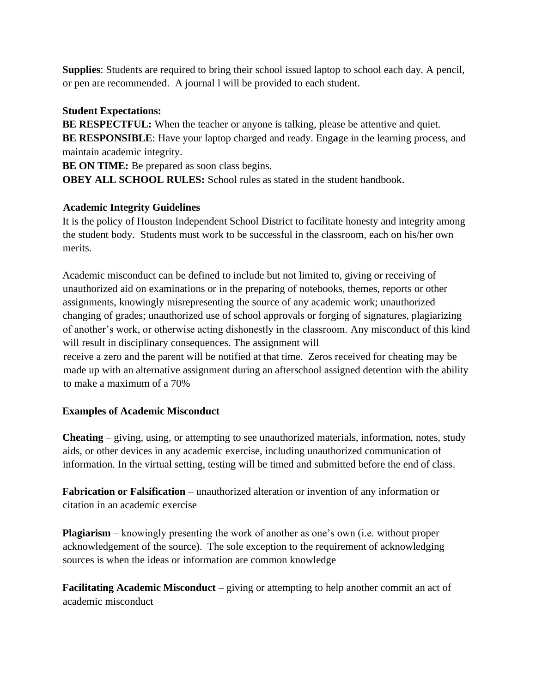**Supplies**: Students are required to bring their school issued laptop to school each day. A pencil, or pen are recommended. A journal l will be provided to each student.

## **Student Expectations:**

**BE RESPECTFUL:** When the teacher or anyone is talking, please be attentive and quiet. **BE RESPONSIBLE**: Have your laptop charged and ready. Eng**a**ge in the learning process, and maintain academic integrity.

**BE ON TIME:** Be prepared as soon class begins.

**OBEY ALL SCHOOL RULES:** School rules as stated in the student handbook.

## **Academic Integrity Guidelines**

It is the policy of Houston Independent School District to facilitate honesty and integrity among the student body. Students must work to be successful in the classroom, each on his/her own merits.

Academic misconduct can be defined to include but not limited to, giving or receiving of unauthorized aid on examinations or in the preparing of notebooks, themes, reports or other assignments, knowingly misrepresenting the source of any academic work; unauthorized changing of grades; unauthorized use of school approvals or forging of signatures, plagiarizing of another's work, or otherwise acting dishonestly in the classroom. Any misconduct of this kind will result in disciplinary consequences. The assignment will

receive a zero and the parent will be notified at that time. Zeros received for cheating may be made up with an alternative assignment during an afterschool assigned detention with the ability to make a maximum of a 70%

# **Examples of Academic Misconduct**

**Cheating** – giving, using, or attempting to see unauthorized materials, information, notes, study aids, or other devices in any academic exercise, including unauthorized communication of information. In the virtual setting, testing will be timed and submitted before the end of class.

**Fabrication or Falsification** – unauthorized alteration or invention of any information or citation in an academic exercise

**Plagiarism** – knowingly presenting the work of another as one's own (i.e. without proper acknowledgement of the source). The sole exception to the requirement of acknowledging sources is when the ideas or information are common knowledge

**Facilitating Academic Misconduct** – giving or attempting to help another commit an act of academic misconduct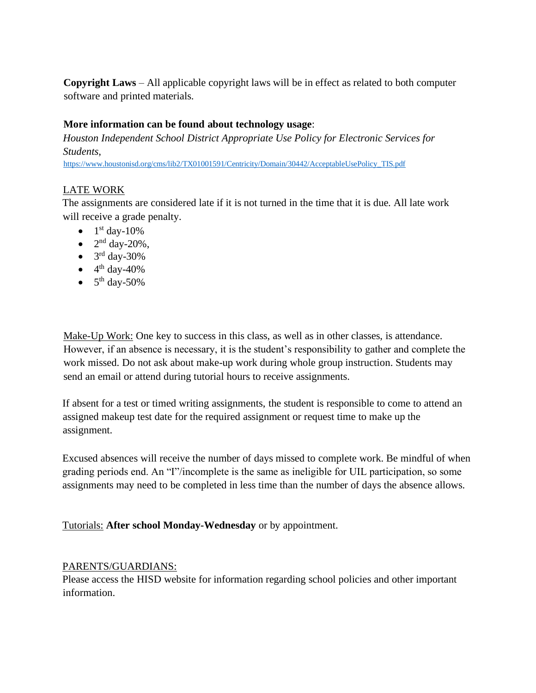**Copyright Laws** – All applicable copyright laws will be in effect as related to both computer software and printed materials.

## **More information can be found about technology usage**:

*Houston Independent School District Appropriate Use Policy for Electronic Services for Students*,

[https://www.houstonisd.org/cms/lib2/TX01001591/Centricity/Domain/30442/AcceptableUsePolicy\\_TIS.pdf](https://www.houstonisd.org/cms/lib2/TX01001591/Centricity/Domain/30442/AcceptableUsePolicy_TIS.pdf)

#### LATE WORK

The assignments are considered late if it is not turned in the time that it is due. All late work will receive a grade penalty.

- $\bullet$  1<sup>st</sup> day-10%
- $\bullet$  2<sup>nd</sup> day-20%,
- $\bullet$  3<sup>rd</sup> day-30%
- $\bullet$  4<sup>th</sup> day-40%
- $\bullet$  5<sup>th</sup> day-50%

Make-Up Work: One key to success in this class, as well as in other classes, is attendance. However, if an absence is necessary, it is the student's responsibility to gather and complete the work missed. Do not ask about make-up work during whole group instruction. Students may send an email or attend during tutorial hours to receive assignments.

If absent for a test or timed writing assignments, the student is responsible to come to attend an assigned makeup test date for the required assignment or request time to make up the assignment.

Excused absences will receive the number of days missed to complete work. Be mindful of when grading periods end. An "I"/incomplete is the same as ineligible for UIL participation, so some assignments may need to be completed in less time than the number of days the absence allows.

Tutorials: **After school Monday-Wednesday** or by appointment.

#### PARENTS/GUARDIANS:

Please access the HISD website for information regarding school policies and other important information.